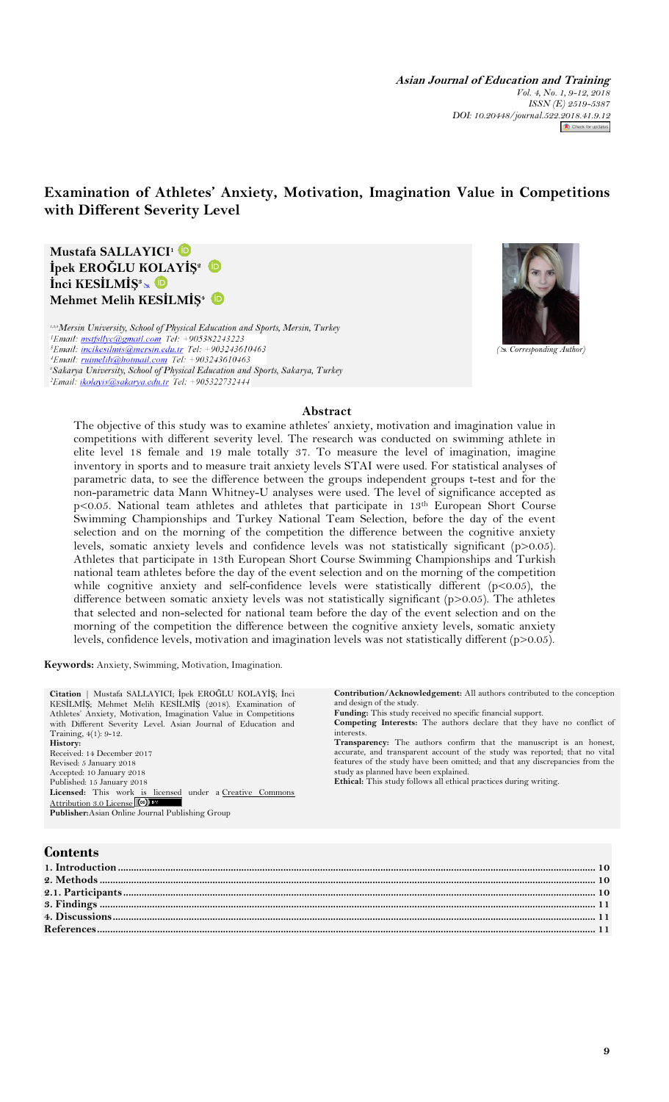**Asian Journal of Education and Training** *Vol. 4, No. 1, 9-12, 2018 ISSN (E) 2519-5387 DOI: 10.20448/journal.522.2018.41.9.12*

# **Examination of Athletes' Anxiety, Motivation, Imagination Value in Competitions with Different Severity Level**

**Mustafa SALLAYICI<sup>1</sup> İpek EROĞLU KOLAYİŞ<sup>2</sup> İnci KESİLMİŞ<sup>3</sup>** **Mehmet Melih KESİLMİŞ<sup>4</sup>**

<sup>1,3,4</sup>*Mersin University, School of Physical Education and Sports, Mersin, Turkey*<sup>1</sup>*Email:* mstfsllyc@gmail.com Tel: +905382243223 <sup>3</sup>Email: *incikesilmis@mersin.edu.tr* Tel: +903243610463 <sup>4</sup>Email: *ruimelih@hotmail.com Tel:* +903243610463 *<sup>2</sup>Sakarya University, School of Physical Education and Sports, Sakarya, Turkey*



# **Abstract**

The objective of this study was to examine athletes' anxiety, motivation and imagination value in competitions with different severity level. The research was conducted on swimming athlete in elite level 18 female and 19 male totally 37. To measure the level of imagination, imagine inventory in sports and to measure trait anxiety levels STAI were used. For statistical analyses of parametric data, to see the difference between the groups independent groups t-test and for the non-parametric data Mann Whitney-U analyses were used. The level of significance accepted as p<0.05. National team athletes and athletes that participate in 13th European Short Course Swimming Championships and Turkey National Team Selection, before the day of the event selection and on the morning of the competition the difference between the cognitive anxiety levels, somatic anxiety levels and confidence levels was not statistically significant (p>0.05). Athletes that participate in 13th European Short Course Swimming Championships and Turkish national team athletes before the day of the event selection and on the morning of the competition while cognitive anxiety and self-confidence levels were statistically different  $(p<0.05)$ , the difference between somatic anxiety levels was not statistically significant (p>0.05). The athletes that selected and non-selected for national team before the day of the event selection and on the morning of the competition the difference between the cognitive anxiety levels, somatic anxiety levels, confidence levels, motivation and imagination levels was not statistically different (p>0.05).

**Keywords:** Anxiety, Swimming, Motivation, Imagination.

**Citation** | Mustafa SALLAYICI; İpek EROĞLU KOLAYİŞ; İnci KESİLMİŞ; Mehmet Melih KESİLMİŞ (2018). Examination of Athletes" Anxiety, Motivation, Imagination Value in Competitions with Different Severity Level. Asian Journal of Education and Training, 4(1): 9-12. **History:** Received: 14 December 2017 Revised: 5 January 2018 Accepted: 10 January 2018 Published: 15 January 2018<br>Licensed: This work is licensed under a Creative Commons [Attribution 3.0 License](http://creativecommons.org/licenses/by/3.0/) (CC) **Publisher:**Asian Online Journal Publishing Group

**Contribution/Acknowledgement:** All authors contributed to the conception and design of the study.

**Funding:** This study received no specific financial support.

**Competing Interests:** The authors declare that they have no conflict of interests.

**Transparency:** The authors confirm that the manuscript is an honest, accurate, and transparent account of the study was reported; that no vital features of the study have been omitted; and that any discrepancies from the study as planned have been explained.

**Ethical:** This study follows all ethical practices during writing.

| <b>Contents</b> |
|-----------------|
|-----------------|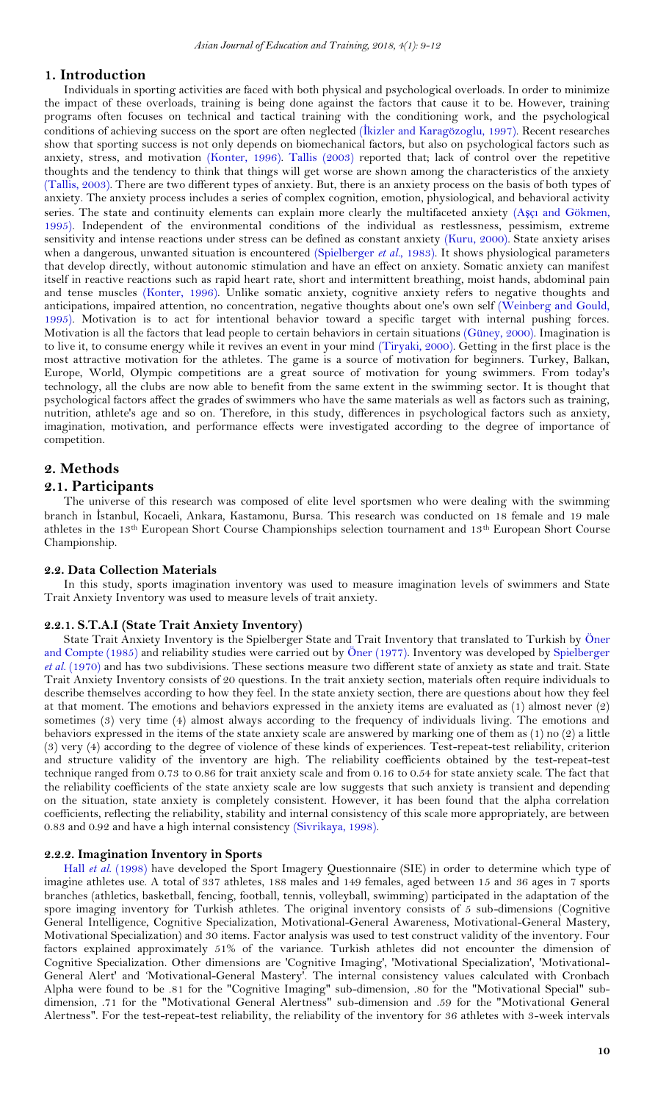# <span id="page-1-0"></span>**1. Introduction**

Individuals in sporting activities are faced with both physical and psychological overloads. In order to minimize the impact of these overloads, training is being done against the factors that cause it to be. However, training programs often focuses on technical and tactical training with the conditioning work, and the psychological conditions of achieving success on the sport are often neglected (İ[kizler and Karagözoglu, 1997\)](#page-3-0). Recent researches show that sporting success is not only depends on biomechanical factors, but also on psychological factors such as anxiety, stress, and motivation [\(Konter, 1996\)](#page-3-1). [Tallis \(2003\)](#page-3-2) reported that; lack of control over the repetitive thoughts and the tendency to think that things will get worse are shown among the characteristics of the anxiety [\(Tallis, 2003\)](#page-3-2). There are two different types of anxiety. But, there is an anxiety process on the basis of both types of anxiety. The anxiety process includes a series of complex cognition, emotion, physiological, and behavioral activity series. The state and continuity elements can explain more clearly the multifaceted anxiety (Aşçı [and Gökmen,](#page-3-3)  [1995\)](#page-3-3). Independent of the environmental conditions of the individual as restlessness, pessimism, extreme sensitivity and intense reactions under stress can be defined as constant anxiety [\(Kuru, 2000\)](#page-3-4). State anxiety arises when a dangerous, unwanted situation is encountered [\(Spielberger](#page-3-5) *et al.*, 1983). It shows physiological parameters that develop directly, without autonomic stimulation and have an effect on anxiety. Somatic anxiety can manifest itself in reactive reactions such as rapid heart rate, short and intermittent breathing, moist hands, abdominal pain and tense muscles [\(Konter, 1996\)](#page-3-1). Unlike somatic anxiety, cognitive anxiety refers to negative thoughts and anticipations, impaired attention, no concentration, negative thoughts about one's own self [\(Weinberg and Gould,](#page-3-6)  [1995\)](#page-3-6). Motivation is to act for intentional behavior toward a specific target with internal pushing forces. Motivation is all the factors that lead people to certain behaviors in certain situations [\(Güney, 2000\)](#page-3-7). Imagination is to live it, to consume energy while it revives an event in your mind [\(Tiryaki, 2000\)](#page-3-8). Getting in the first place is the most attractive motivation for the athletes. The game is a source of motivation for beginners. Turkey, Balkan, Europe, World, Olympic competitions are a great source of motivation for young swimmers. From today's technology, all the clubs are now able to benefit from the same extent in the swimming sector. It is thought that psychological factors affect the grades of swimmers who have the same materials as well as factors such as training, nutrition, athlete's age and so on. Therefore, in this study, differences in psychological factors such as anxiety, imagination, motivation, and performance effects were investigated according to the degree of importance of competition.

## <span id="page-1-1"></span>**2. Methods**

## <span id="page-1-2"></span>**2.1. Participants**

The universe of this research was composed of elite level sportsmen who were dealing with the swimming branch in İstanbul, Kocaeli, Ankara, Kastamonu, Bursa. This research was conducted on 18 female and 19 male athletes in the 13<sup>th</sup> European Short Course Championships selection tournament and 13<sup>th</sup> European Short Course Championship.

## **2.2. Data Collection Materials**

In this study, sports imagination inventory was used to measure imagination levels of swimmers and State Trait Anxiety Inventory was used to measure levels of trait anxiety.

#### **2.2.1. S.T.A.I (State Trait Anxiety Inventory)**

State Trait Anxiety Inventory is the Spielberger State and Trait Inventory that translated to Turkish by [Öner](#page-3-9)  [and Compte \(1985\)](#page-3-9) and reliability studies were carried out by [Öner \(1977\)](#page-3-10). Inventory was developed by [Spielberger](#page-3-11) *et al.* [\(1970\)](#page-3-11) and has two subdivisions. These sections measure two different state of anxiety as state and trait. State Trait Anxiety Inventory consists of 20 questions. In the trait anxiety section, materials often require individuals to describe themselves according to how they feel. In the state anxiety section, there are questions about how they feel at that moment. The emotions and behaviors expressed in the anxiety items are evaluated as (1) almost never (2) sometimes (3) very time (4) almost always according to the frequency of individuals living. The emotions and behaviors expressed in the items of the state anxiety scale are answered by marking one of them as (1) no (2) a little (3) very (4) according to the degree of violence of these kinds of experiences. Test-repeat-test reliability, criterion and structure validity of the inventory are high. The reliability coefficients obtained by the test-repeat-test technique ranged from 0.73 to 0.86 for trait anxiety scale and from 0.16 to 0.54 for state anxiety scale. The fact that the reliability coefficients of the state anxiety scale are low suggests that such anxiety is transient and depending on the situation, state anxiety is completely consistent. However, it has been found that the alpha correlation coefficients, reflecting the reliability, stability and internal consistency of this scale more appropriately, are between 0.83 and 0.92 and have a high internal consistency [\(Sivrikaya, 1998\)](#page-3-12).

#### **2.2.2. Imagination Inventory in Sports**

Hall *et al.* [\(1998\)](#page-3-13) have developed the Sport Imagery Questionnaire (SIE) in order to determine which type of imagine athletes use. A total of 337 athletes, 188 males and 149 females, aged between 15 and 36 ages in 7 sports branches (athletics, basketball, fencing, football, tennis, volleyball, swimming) participated in the adaptation of the spore imaging inventory for Turkish athletes. The original inventory consists of 5 sub-dimensions (Cognitive General Intelligence, Cognitive Specialization, Motivational-General Awareness, Motivational-General Mastery, Motivational Specialization) and 30 items. Factor analysis was used to test construct validity of the inventory. Four factors explained approximately 51% of the variance. Turkish athletes did not encounter the dimension of Cognitive Specialization. Other dimensions are 'Cognitive Imaging', 'Motivational Specialization', 'Motivational-General Alert' and "Motivational-General Mastery'. The internal consistency values calculated with Cronbach Alpha were found to be .81 for the "Cognitive Imaging" sub-dimension, .80 for the "Motivational Special" subdimension, .71 for the "Motivational General Alertness" sub-dimension and .59 for the "Motivational General Alertness". For the test-repeat-test reliability, the reliability of the inventory for 36 athletes with 3-week intervals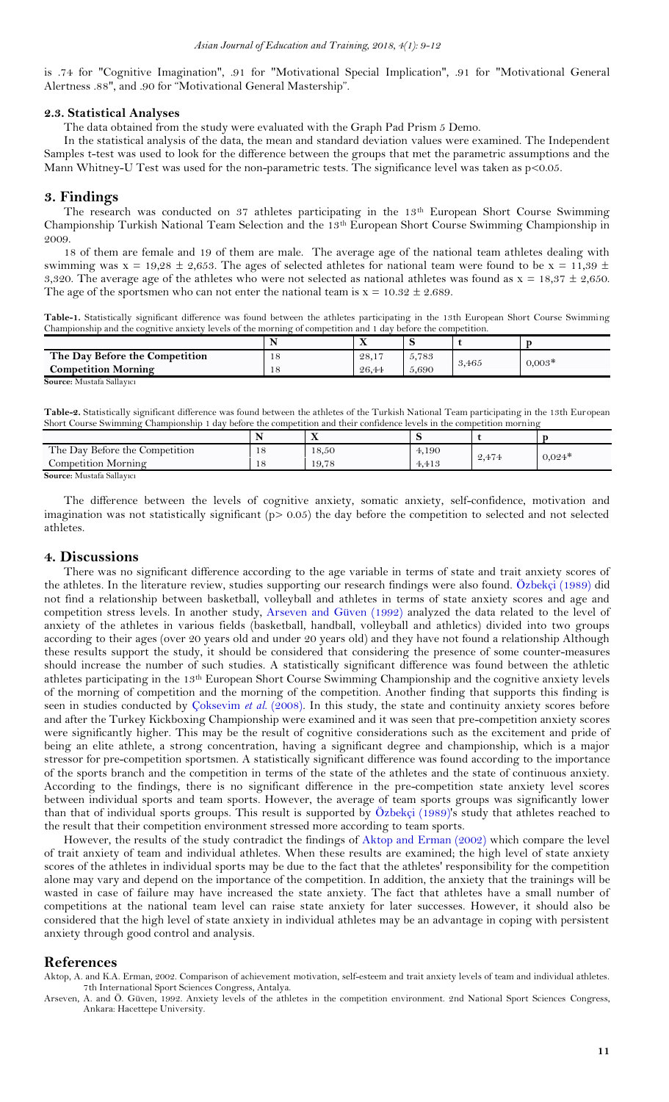is .74 for "Cognitive Imagination", .91 for "Motivational Special Implication", .91 for "Motivational General Alertness .88", and .90 for "Motivational General Mastership".

#### **2.3. Statistical Analyses**

The data obtained from the study were evaluated with the Graph Pad Prism 5 Demo.

In the statistical analysis of the data, the mean and standard deviation values were examined. The Independent Samples t-test was used to look for the difference between the groups that met the parametric assumptions and the Mann Whitney-U Test was used for the non-parametric tests. The significance level was taken as p<0.05.

### <span id="page-2-0"></span>**3. Findings**

The research was conducted on 37 athletes participating in the 13<sup>th</sup> European Short Course Swimming Championship Turkish National Team Selection and the 13th European Short Course Swimming Championship in 2009.

18 of them are female and 19 of them are male. The average age of the national team athletes dealing with swimming was  $x = 19,28 \pm 2,653$ . The ages of selected athletes for national team were found to be  $x = 11,39 \pm 1$ 3,320. The average age of the athletes who were not selected as national athletes was found as  $x = 18,37 \pm 2,650$ . The age of the sportsmen who can not enter the national team is  $x = 10.32 \pm 2.689$ .

**Table-1.** Statistically significant difference was found between the athletes participating in the 13th European Short Course Swimming Championship and the cognitive anxiety levels of the morning of competition and 1 day before the competition.

|                                | $\mathbf{A}$ |       |       |          |
|--------------------------------|--------------|-------|-------|----------|
| The Day Before the Competition | 28.17        | 5.783 | 3,465 | $0.003*$ |
| <b>Competition Morning</b>     | 26.44        | 5.690 |       |          |
| Cannon, Mustafa Callamar       |              |       |       |          |

**Source:** Mustafa Sallayıcı

**Table-2.** Statistically significant difference was found between the athletes of the Turkish National Team participating in the 13th European Short Course Swimming Championship 1 day before the competition and their confidence levels in the competition morning

|                                | . . | $\mathbf{v}$<br>ZX. |       |       |          |
|--------------------------------|-----|---------------------|-------|-------|----------|
| The Day Before the Competition |     | 18,50               | 4,190 | 2,474 | $0.024*$ |
| Competition Morning            |     | 19,78               | 4.413 |       |          |
| Source: Mustafa Sallavici      |     |                     |       |       |          |

**Source:** Mustafa Sallayıcı

The difference between the levels of cognitive anxiety, somatic anxiety, self-confidence, motivation and imagination was not statistically significant (p> 0.05) the day before the competition to selected and not selected athletes.

#### <span id="page-2-1"></span>**4. Discussions**

There was no significant difference according to the age variable in terms of state and trait anxiety scores of the athletes. In the literature review, studies supporting our research findings were also found. [Özbekçi \(1989\)](#page-3-14) did not find a relationship between basketball, volleyball and athletes in terms of state anxiety scores and age and competition stress levels. In another study, [Arseven and Güven \(1992\)](#page-2-3) analyzed the data related to the level of anxiety of the athletes in various fields (basketball, handball, volleyball and athletics) divided into two groups according to their ages (over 20 years old and under 20 years old) and they have not found a relationship Although these results support the study, it should be considered that considering the presence of some counter-measures should increase the number of such studies. A statistically significant difference was found between the athletic athletes participating in the 13th European Short Course Swimming Championship and the cognitive anxiety levels of the morning of competition and the morning of the competition. Another finding that supports this finding is seen in studies conducted by [Çoksevim](#page-3-15) et al. (2008). In this study, the state and continuity anxiety scores before and after the Turkey Kickboxing Championship were examined and it was seen that pre-competition anxiety scores were significantly higher. This may be the result of cognitive considerations such as the excitement and pride of being an elite athlete, a strong concentration, having a significant degree and championship, which is a major stressor for pre-competition sportsmen. A statistically significant difference was found according to the importance of the sports branch and the competition in terms of the state of the athletes and the state of continuous anxiety. According to the findings, there is no significant difference in the pre-competition state anxiety level scores between individual sports and team sports. However, the average of team sports groups was significantly lower than that of individual sports groups. This result is supported by [Özbekçi \(1989\)](#page-3-14)'s study that athletes reached to the result that their competition environment stressed more according to team sports.

However, the results of the study contradict the findings of [Aktop and Erman \(2002\)](#page-2-4) which compare the level of trait anxiety of team and individual athletes. When these results are examined; the high level of state anxiety scores of the athletes in individual sports may be due to the fact that the athletes' responsibility for the competition alone may vary and depend on the importance of the competition. In addition, the anxiety that the trainings will be wasted in case of failure may have increased the state anxiety. The fact that athletes have a small number of competitions at the national team level can raise state anxiety for later successes. However, it should also be considered that the high level of state anxiety in individual athletes may be an advantage in coping with persistent anxiety through good control and analysis.

#### <span id="page-2-2"></span>**References**

<span id="page-2-4"></span>Aktop, A. and K.A. Erman, 2002. Comparison of achievement motivation, self-esteem and trait anxiety levels of team and individual athletes. 7th International Sport Sciences Congress, Antalya.

<span id="page-2-3"></span>Arseven, A. and Ö. Güven, 1992. Anxiety levels of the athletes in the competition environment. 2nd National Sport Sciences Congress, Ankara: Hacettepe University.